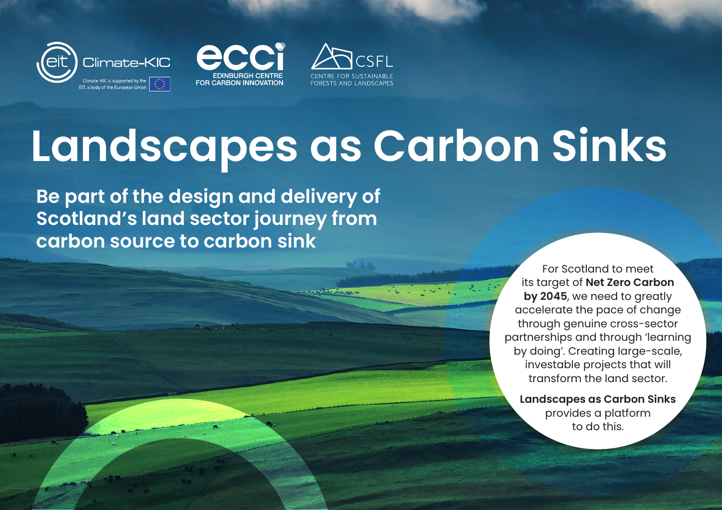





# **Landscapes as Carbon Sinks**

**Be part of the design and delivery of Scotland's land sector journey from carbon source to carbon sink**

> For Scotland to meet its target of **Net Zero Carbon by 2045**, we need to greatly accelerate the pace of change through genuine cross-sector partnerships and through 'learning by doing'. Creating large-scale, investable projects that will transform the land sector.

**Landscapes as Carbon Sinks** provides a platform to do this.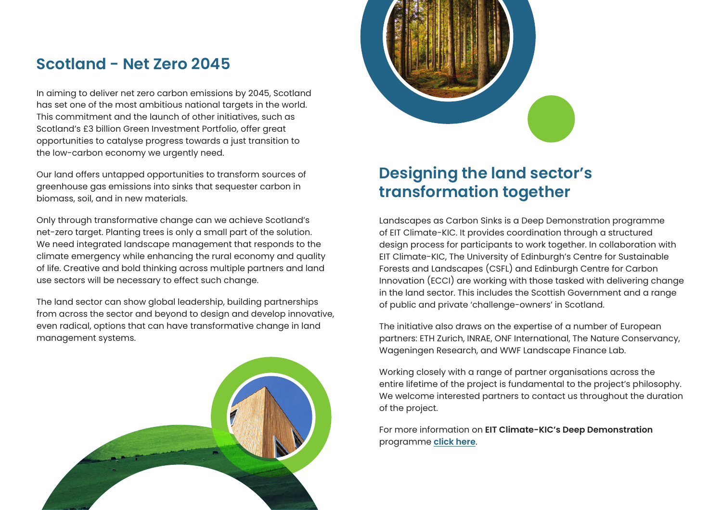### **Scotland - Net Zero 2045**

In aiming to deliver net zero carbon emissions by 2045, Scotland has set one of the most ambitious national targets in the world. This commitment and the launch of other initiatives, such as Scotland's £3 billion Green Investment Portfolio, offer great opportunities to catalyse progress towards a just transition to the low-carbon economy we urgently need.

Our land offers untapped opportunities to transform sources of greenhouse gas emissions into sinks that sequester carbon in biomass, soil, and in new materials.

Only through transformative change can we achieve Scotland's net-zero target. Planting trees is only a small part of the solution. We need integrated landscape management that responds to the climate emergency while enhancing the rural economy and quality of life. Creative and bold thinking across multiple partners and land use sectors will be necessary to effect such change.

The land sector can show global leadership, building partnerships from across the sector and beyond to design and develop innovative, even radical, options that can have transformative change in land management systems.





## **Designing the land sector's transformation together**

Landscapes as Carbon Sinks is a Deep Demonstration programme of EIT Climate-KIC. It provides coordination through a structured design process for participants to work together. In collaboration with EIT Climate-KIC, The University of Edinburgh's Centre for Sustainable Forests and Landscapes (CSFL) and Edinburgh Centre for Carbon Innovation (ECCI) are working with those tasked with delivering change in the land sector. This includes the Scottish Government and a range of public and private 'challenge-owners' in Scotland.

The initiative also draws on the expertise of a number of European partners: ETH Zurich, INRAE, ONF International, The Nature Conservancy, Wageningen Research, and WWF Landscape Finance Lab.

Working closely with a range of partner organisations across the entire lifetime of the project is fundamental to the project's philosophy. We welcome interested partners to contact us throughout the duration of the project.

For more information on **EIT Climate-KIC's Deep Demonstration**  programme **[click here](https://www.climate-kic.org/programmes/deep-demonstrations/)**.